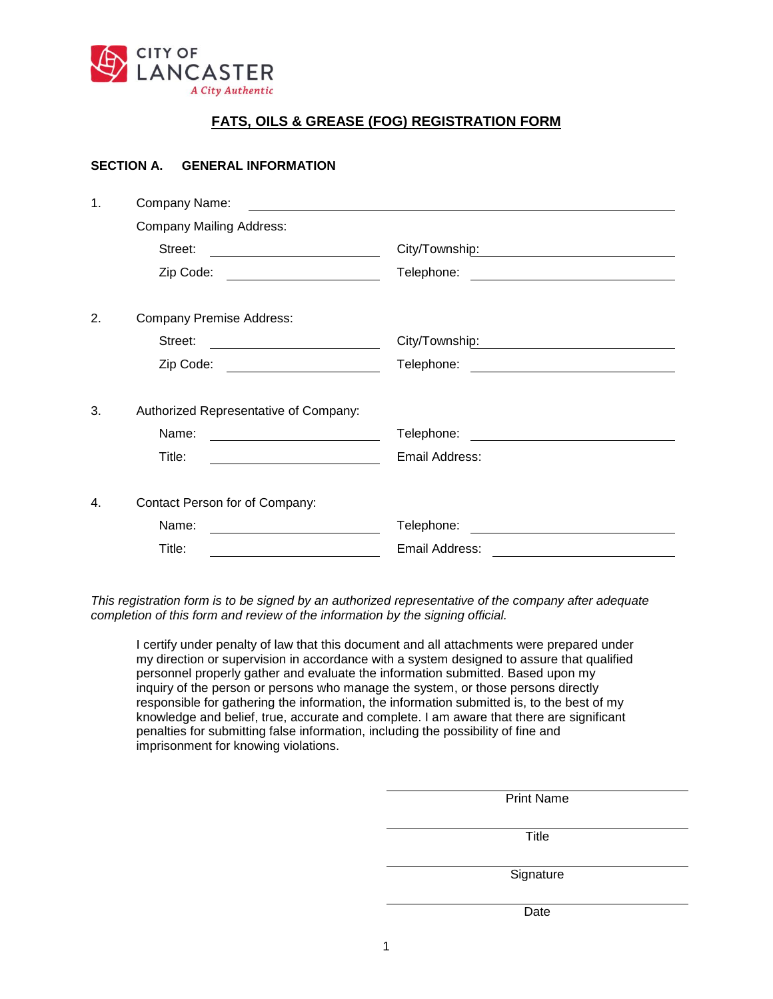

## **FATS, OILS & GREASE (FOG) REGISTRATION FORM**

## **SECTION A. GENERAL INFORMATION**

| 1. | Company Name:                                                                                                                 |                                                                                                                                    |  |  |  |
|----|-------------------------------------------------------------------------------------------------------------------------------|------------------------------------------------------------------------------------------------------------------------------------|--|--|--|
|    | <b>Company Mailing Address:</b>                                                                                               |                                                                                                                                    |  |  |  |
|    | Street:                                                                                                                       | City/Township: William Communication City/Township:                                                                                |  |  |  |
|    | Zip Code:<br><u> 1990 - Johann Barbara, martin a</u>                                                                          | Telephone:<br><u> 1989 - Johann Stoff, fransk politik (d. 1989)</u>                                                                |  |  |  |
| 2. | <b>Company Premise Address:</b>                                                                                               |                                                                                                                                    |  |  |  |
|    | Street:<br><u> 1989 - Johann Barn, fransk politik (</u>                                                                       |                                                                                                                                    |  |  |  |
|    | Zip Code:                                                                                                                     | Telephone:<br><u> 1980 - Jan Samuel Barbara, martin din santa da sensa da sensa da sensa da sensa da sensa da sensa da sensa d</u> |  |  |  |
| 3. | Authorized Representative of Company:                                                                                         |                                                                                                                                    |  |  |  |
|    | Name:<br><u> 1980 - Johann Barbara, martxa a</u>                                                                              | Telephone:                                                                                                                         |  |  |  |
|    | Title:<br><u> 1980 - Jan Barbara Barat, politik eta politik eta politik eta politik eta politik eta politik eta politik e</u> | Email Address:                                                                                                                     |  |  |  |
| 4. | Contact Person for of Company:                                                                                                |                                                                                                                                    |  |  |  |
|    | Name:                                                                                                                         | Telephone:<br><u> 1980 - Jan Samuel Barbara, político e a f</u>                                                                    |  |  |  |
|    | Title:                                                                                                                        | Email Address:                                                                                                                     |  |  |  |

*This registration form is to be signed by an authorized representative of the company after adequate completion of this form and review of the information by the signing official.*

I certify under penalty of law that this document and all attachments were prepared under my direction or supervision in accordance with a system designed to assure that qualified personnel properly gather and evaluate the information submitted. Based upon my inquiry of the person or persons who manage the system, or those persons directly responsible for gathering the information, the information submitted is, to the best of my knowledge and belief, true, accurate and complete. I am aware that there are significant penalties for submitting false information, including the possibility of fine and imprisonment for knowing violations.

| <b>Print Name</b> |
|-------------------|
|                   |
| <b>Title</b>      |
|                   |
| Signature         |
|                   |
| Date              |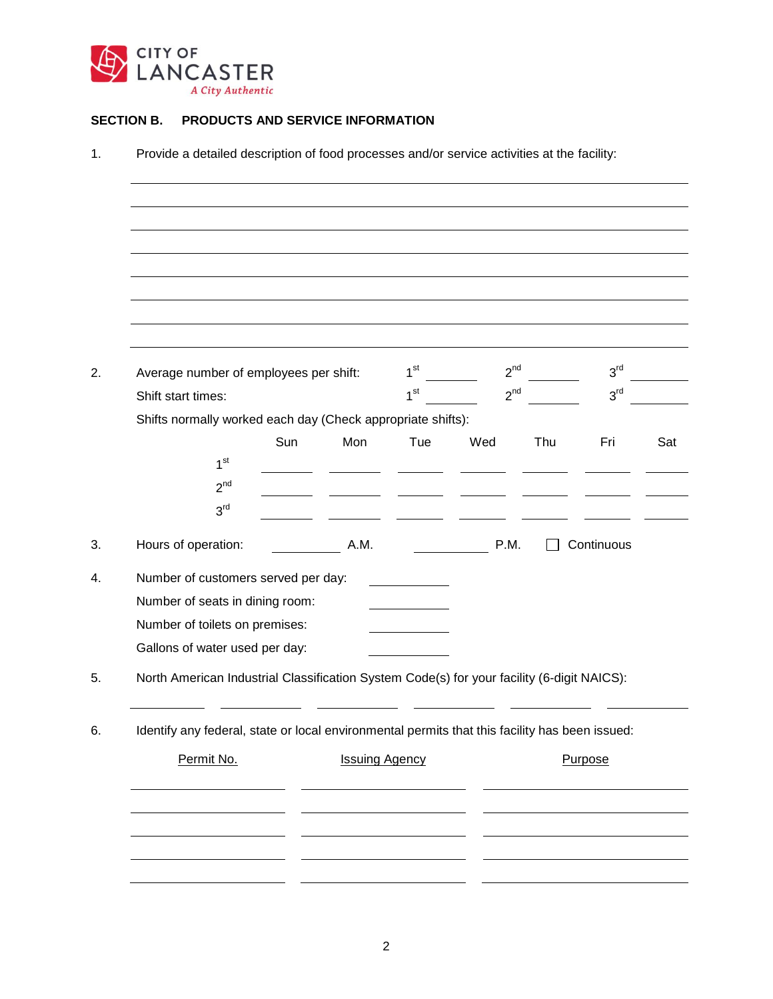

## **SECTION B. PRODUCTS AND SERVICE INFORMATION**

|                                                                                            | Average number of employees per shift:                                                         |                       | 1 <sup>st</sup> | $2^{nd}$ |     | 3 <sup>rd</sup> |  |
|--------------------------------------------------------------------------------------------|------------------------------------------------------------------------------------------------|-----------------------|-----------------|----------|-----|-----------------|--|
|                                                                                            | Shift start times:                                                                             |                       | 1 <sup>st</sup> | $2^{nd}$ |     | 3 <sup>rd</sup> |  |
|                                                                                            | Shifts normally worked each day (Check appropriate shifts):                                    |                       |                 |          |     |                 |  |
|                                                                                            | Sun                                                                                            | Mon                   | Tue             | Wed      | Thu | Fri             |  |
|                                                                                            | 1 <sup>st</sup>                                                                                |                       |                 |          |     |                 |  |
|                                                                                            | 2 <sup>nd</sup>                                                                                |                       |                 |          |     |                 |  |
|                                                                                            | 3 <sup>rd</sup>                                                                                |                       |                 |          |     |                 |  |
|                                                                                            | Hours of operation:                                                                            | A.M.                  |                 | P.M.     |     | Continuous      |  |
|                                                                                            | Number of customers served per day:                                                            |                       |                 |          |     |                 |  |
|                                                                                            | Number of seats in dining room:                                                                |                       |                 |          |     |                 |  |
|                                                                                            | Number of toilets on premises:                                                                 |                       |                 |          |     |                 |  |
|                                                                                            | Gallons of water used per day:                                                                 |                       |                 |          |     |                 |  |
| North American Industrial Classification System Code(s) for your facility (6-digit NAICS): |                                                                                                |                       |                 |          |     |                 |  |
|                                                                                            |                                                                                                |                       |                 |          |     |                 |  |
|                                                                                            | Identify any federal, state or local environmental permits that this facility has been issued: |                       |                 |          |     |                 |  |
|                                                                                            | Permit No.                                                                                     | <b>Issuing Agency</b> |                 |          |     | Purpose         |  |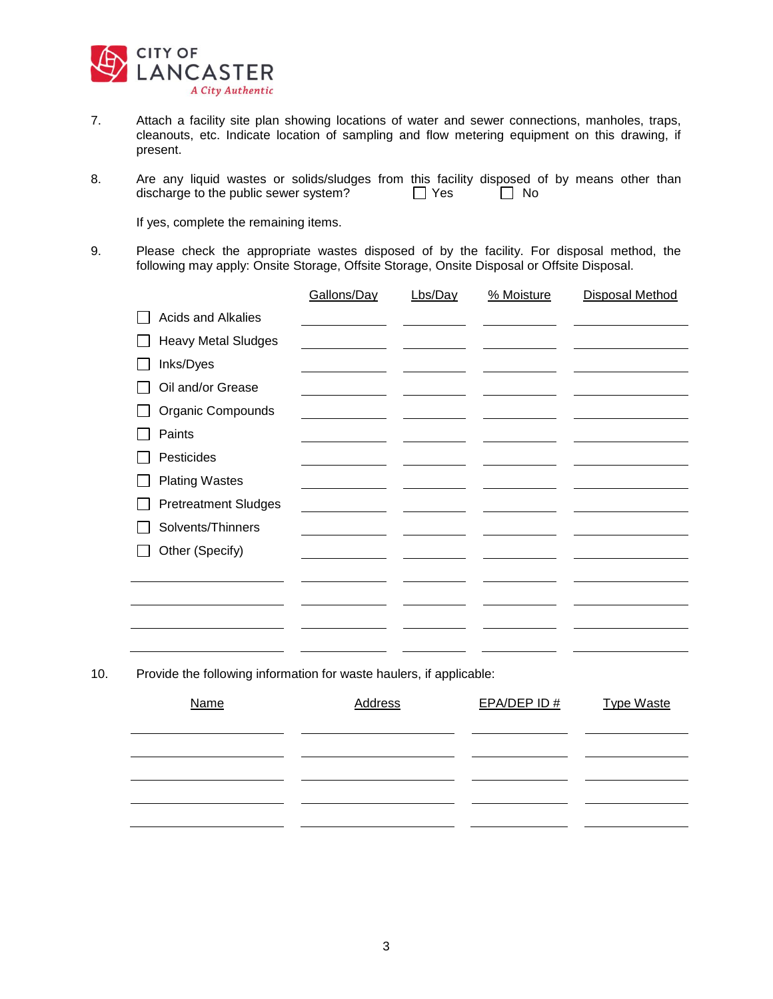

- 7. Attach a facility site plan showing locations of water and sewer connections, manholes, traps, cleanouts, etc. Indicate location of sampling and flow metering equipment on this drawing, if present.
- 8. Are any liquid wastes or solids/sludges from this facility disposed of by means other than discharge to the public sewer system?  $\Box$  Yes  $\Box$  No discharge to the public sewer system?  $\Box$  Yes

If yes, complete the remaining items.

9. Please check the appropriate wastes disposed of by the facility. For disposal method, the following may apply: Onsite Storage, Offsite Storage, Onsite Disposal or Offsite Disposal.

|                             | Gallons/Day | Lbs/Day | % Moisture | <b>Disposal Method</b> |
|-----------------------------|-------------|---------|------------|------------------------|
| <b>Acids and Alkalies</b>   |             |         |            |                        |
| <b>Heavy Metal Sludges</b>  |             |         |            |                        |
| Inks/Dyes                   |             |         |            |                        |
| Oil and/or Grease           |             |         |            |                        |
| Organic Compounds           |             |         |            |                        |
| Paints                      |             |         |            |                        |
| Pesticides                  |             |         |            |                        |
| <b>Plating Wastes</b>       |             |         |            |                        |
| <b>Pretreatment Sludges</b> |             |         |            |                        |
| Solvents/Thinners           |             |         |            |                        |
| Other (Specify)             |             |         |            |                        |
|                             |             |         |            |                        |
|                             |             |         |            |                        |
|                             |             |         |            |                        |
|                             |             |         |            |                        |
|                             |             |         |            |                        |

10. Provide the following information for waste haulers, if applicable:

| <b>Name</b> | Address | $EPA/DEP$ ID $#$ | <b>Type Waste</b> |
|-------------|---------|------------------|-------------------|
|             |         |                  |                   |
|             |         |                  |                   |
|             |         |                  |                   |
|             |         |                  |                   |